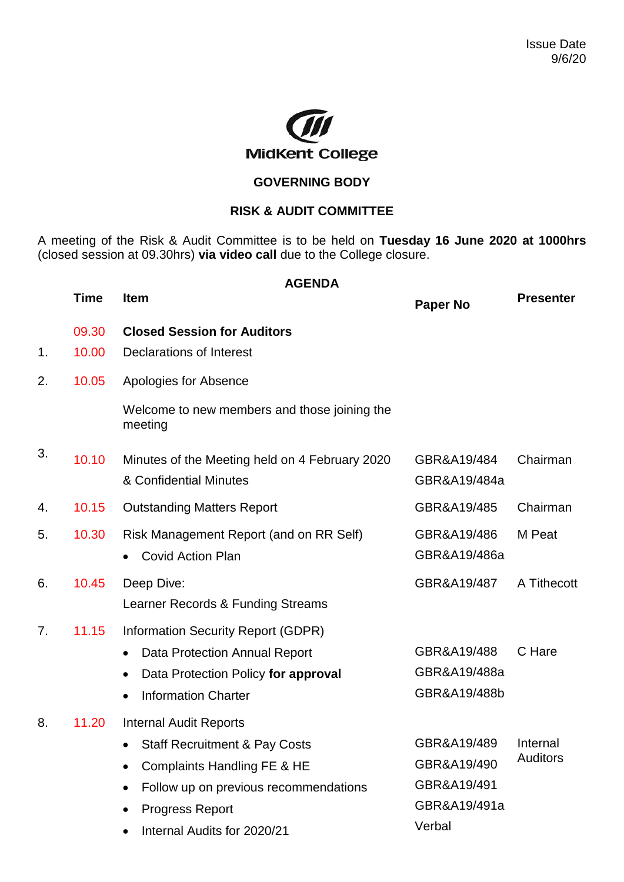

## **GOVERNING BODY**

## **RISK & AUDIT COMMITTEE**

A meeting of the Risk & Audit Committee is to be held on **Tuesday 16 June 2020 at 1000hrs** (closed session at 09.30hrs) **via video call** due to the College closure.

|    | Time           | <b>AGENDA</b><br><b>Item</b>                                                                                                                                                                               | <b>Paper No</b>                                                     | <b>Presenter</b>            |
|----|----------------|------------------------------------------------------------------------------------------------------------------------------------------------------------------------------------------------------------|---------------------------------------------------------------------|-----------------------------|
| 1. | 09.30<br>10.00 | <b>Closed Session for Auditors</b><br><b>Declarations of Interest</b>                                                                                                                                      |                                                                     |                             |
| 2. | 10.05          | Apologies for Absence                                                                                                                                                                                      |                                                                     |                             |
|    |                | Welcome to new members and those joining the<br>meeting                                                                                                                                                    |                                                                     |                             |
| 3. | 10.10          | Minutes of the Meeting held on 4 February 2020<br>& Confidential Minutes                                                                                                                                   | GBR&A19/484<br>GBR&A19/484a                                         | Chairman                    |
| 4. | 10.15          | <b>Outstanding Matters Report</b>                                                                                                                                                                          | GBR&A19/485                                                         | Chairman                    |
| 5. | 10.30          | Risk Management Report (and on RR Self)<br><b>Covid Action Plan</b>                                                                                                                                        | GBR&A19/486<br>GBR&A19/486a                                         | M Peat                      |
| 6. | 10.45          | Deep Dive:<br>Learner Records & Funding Streams                                                                                                                                                            | GBR&A19/487                                                         | A Tithecott                 |
| 7. | 11.15          | <b>Information Security Report (GDPR)</b><br>Data Protection Annual Report<br>$\bullet$<br>Data Protection Policy for approval<br>$\bullet$<br><b>Information Charter</b><br>$\bullet$                     | GBR&A19/488<br>GBR&A19/488a<br>GBR&A19/488b                         | C Hare                      |
| 8. | 11.20          | <b>Internal Audit Reports</b><br><b>Staff Recruitment &amp; Pay Costs</b><br>Complaints Handling FE & HE<br>Follow up on previous recommendations<br><b>Progress Report</b><br>Internal Audits for 2020/21 | GBR&A19/489<br>GBR&A19/490<br>GBR&A19/491<br>GBR&A19/491a<br>Verbal | Internal<br><b>Auditors</b> |